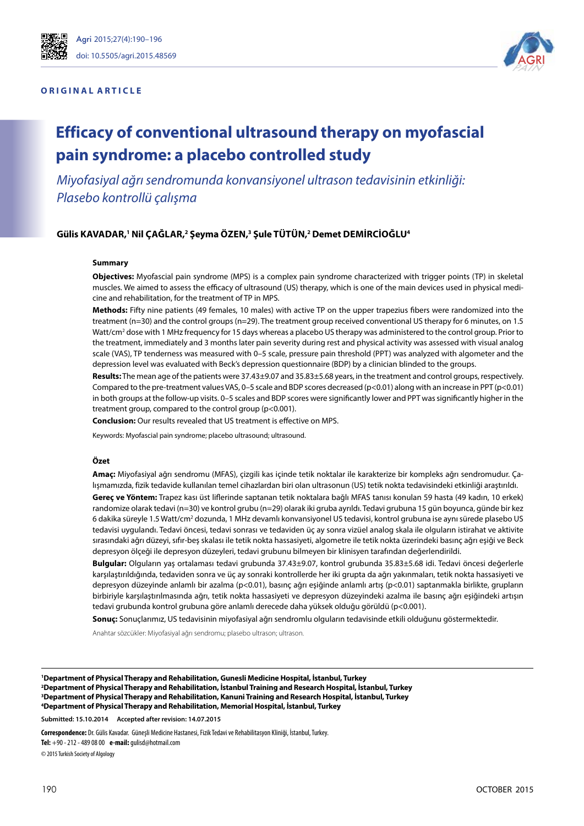

#### **O R I G I N A L A R T I C L E**



# **Efficacy of conventional ultrasound therapy on myofascial pain syndrome: a placebo controlled study**

*Miyofasiyal ağrı sendromunda konvansiyonel ultrason tedavisinin etkinliği: Plasebo kontrollü çalışma*

#### Gülis KAVADAR,<sup>1</sup> Nil ÇAĞLAR,<sup>2</sup> Şeyma ÖZEN,<sup>3</sup> Şule TÜTÜN,<sup>2</sup> Demet DEMİRCİOĞLU<sup>4</sup>

#### **Summary**

**Objectives:** Myofascial pain syndrome (MPS) is a complex pain syndrome characterized with trigger points (TP) in skeletal muscles. We aimed to assess the efficacy of ultrasound (US) therapy, which is one of the main devices used in physical medicine and rehabilitation, for the treatment of TP in MPS.

**Methods:** Fifty nine patients (49 females, 10 males) with active TP on the upper trapezius fibers were randomized into the treatment (n=30) and the control groups (n=29). The treatment group received conventional US therapy for 6 minutes, on 1.5 Watt/cm<sup>2</sup> dose with 1 MHz frequency for 15 days whereas a placebo US therapy was administered to the control group. Prior to the treatment, immediately and 3 months later pain severity during rest and physical activity was assessed with visual analog scale (VAS), TP tenderness was measured with 0–5 scale, pressure pain threshold (PPT) was analyzed with algometer and the depression level was evaluated with Beck's depression questionnaire (BDP) by a clinician blinded to the groups.

**Results:** The mean age of the patients were 37.43±9.07 and 35.83±5.68 years, in the treatment and control groups, respectively. Compared to the pre-treatment values VAS, 0-5 scale and BDP scores decreased ( $p<0.01$ ) along with an increase in PPT ( $p<0.01$ ) in both groups at the follow-up visits. 0–5 scales and BDP scores were significantly lower and PPT was significantly higher in the treatment group, compared to the control group (p<0.001).

**Conclusion:** Our results revealed that US treatment is effective on MPS.

Keywords: Myofascial pain syndrome; placebo ultrasound; ultrasound.

#### **Özet**

**Amaç:** Miyofasiyal ağrı sendromu (MFAS), çizgili kas içinde tetik noktalar ile karakterize bir kompleks ağrı sendromudur. Çalışmamızda, fizik tedavide kullanılan temel cihazlardan biri olan ultrasonun (US) tetik nokta tedavisindeki etkinliği araştırıldı. **Gereç ve Yöntem:** Trapez kası üst liflerinde saptanan tetik noktalara bağlı MFAS tanısı konulan 59 hasta (49 kadın, 10 erkek)

randomize olarak tedavi (n=30) ve kontrol grubu (n=29) olarak iki gruba ayrıldı. Tedavi grubuna 15 gün boyunca, günde bir kez 6 dakika süreyle 1.5 Watt/cm<sup>2</sup> dozunda, 1 MHz devamlı konvansiyonel US tedavisi, kontrol grubuna ise aynı sürede plasebo US tedavisi uygulandı. Tedavi öncesi, tedavi sonrası ve tedaviden üç ay sonra vizüel analog skala ile olguların istirahat ve aktivite sırasındaki ağrı düzeyi, sıfır-beş skalası ile tetik nokta hassasiyeti, algometre ile tetik nokta üzerindeki basınç ağrı eşiği ve Beck depresyon ölçeği ile depresyon düzeyleri, tedavi grubunu bilmeyen bir klinisyen tarafından değerlendirildi.

**Bulgular:** Olguların yaş ortalaması tedavi grubunda 37.43±9.07, kontrol grubunda 35.83±5.68 idi. Tedavi öncesi değerlerle karşılaştırıldığında, tedaviden sonra ve üç ay sonraki kontrollerde her iki grupta da ağrı yakınmaları, tetik nokta hassasiyeti ve depresyon düzeyinde anlamlı bir azalma (p<0.01), basınç ağrı eşiğinde anlamlı artış (p<0.01) saptanmakla birlikte, grupların birbiriyle karşılaştırılmasında ağrı, tetik nokta hassasiyeti ve depresyon düzeyindeki azalma ile basınç ağrı eşiğindeki artışın tedavi grubunda kontrol grubuna göre anlamlı derecede daha yüksek olduğu görüldü (p<0.001).

**Sonuç:** Sonuçlarımız, US tedavisinin miyofasiyal ağrı sendromlu olguların tedavisinde etkili olduğunu göstermektedir.

Anahtar sözcükler: Miyofasiyal ağrı sendromu; plasebo ultrason; ultrason.

 **Department of Physical Therapy and Rehabilitation, Gunesli Medicine Hospital, İstanbul, Turkey Department of Physical Therapy and Rehabilitation, İstanbul Training and Research Hospital, İstanbul, Turkey Department of Physical Therapy and Rehabilitation, Kanuni Training and Research Hospital, İstanbul, Turkey Department of Physical Therapy and Rehabilitation, Memorial Hospital, İstanbul, Turkey**

**Submitted: 15.10.2014 Accepted after revision: 14.07.2015**

**Correspondence:** Dr. Gülis Kavadar. Güneşli Medicine Hastanesi, Fizik Tedavi ve Rehabilitasyon Kliniği, İstanbul, Turkey. **Tel:** +90 - 212 - 489 08 00 **e-mail:** gulisd@hotmail.com © 2015 Turkish Society of Algology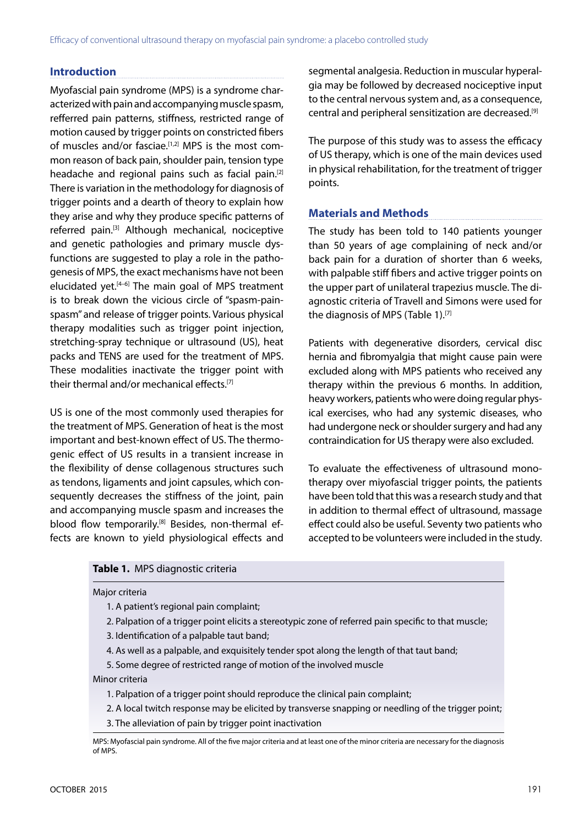# **Introduction**

Myofascial pain syndrome (MPS) is a syndrome characterized with pain and accompanying muscle spasm, refferred pain patterns, stiffness, restricted range of motion caused by trigger points on constricted fibers of muscles and/or fasciae.<sup>[1,2]</sup> MPS is the most common reason of back pain, shoulder pain, tension type headache and regional pains such as facial pain.[2] There is variation in the methodology for diagnosis of trigger points and a dearth of theory to explain how they arise and why they produce specific patterns of referred pain.[3] Although mechanical, nociceptive and genetic pathologies and primary muscle dysfunctions are suggested to play a role in the pathogenesis of MPS, the exact mechanisms have not been elucidated yet. $[4-6]$  The main goal of MPS treatment is to break down the vicious circle of "spasm-painspasm" and release of trigger points. Various physical therapy modalities such as trigger point injection, stretching-spray technique or ultrasound (US), heat packs and TENS are used for the treatment of MPS. These modalities inactivate the trigger point with their thermal and/or mechanical effects.<sup>[7]</sup>

US is one of the most commonly used therapies for the treatment of MPS. Generation of heat is the most important and best-known effect of US. The thermogenic effect of US results in a transient increase in the flexibility of dense collagenous structures such as tendons, ligaments and joint capsules, which consequently decreases the stiffness of the joint, pain and accompanying muscle spasm and increases the blood flow temporarily.<sup>[8]</sup> Besides, non-thermal effects are known to yield physiological effects and segmental analgesia. Reduction in muscular hyperalgia may be followed by decreased nociceptive input to the central nervous system and, as a consequence, central and peripheral sensitization are decreased.[9]

The purpose of this study was to assess the efficacy of US therapy, which is one of the main devices used in physical rehabilitation, for the treatment of trigger points.

# **Materials and Methods**

The study has been told to 140 patients younger than 50 years of age complaining of neck and/or back pain for a duration of shorter than 6 weeks, with palpable stiff fibers and active trigger points on the upper part of unilateral trapezius muscle. The diagnostic criteria of Travell and Simons were used for the diagnosis of MPS (Table 1).<sup>[7]</sup>

Patients with degenerative disorders, cervical disc hernia and fibromyalgia that might cause pain were excluded along with MPS patients who received any therapy within the previous 6 months. In addition, heavy workers, patients who were doing regular physical exercises, who had any systemic diseases, who had undergone neck or shoulder surgery and had any contraindication for US therapy were also excluded.

To evaluate the effectiveness of ultrasound monotherapy over miyofascial trigger points, the patients have been told that this was a research study and that in addition to thermal effect of ultrasound, massage effect could also be useful. Seventy two patients who accepted to be volunteers were included in the study.

## **Table 1.** MPS diagnostic criteria

## Major criteria

- 1. A patient's regional pain complaint;
- 2. Palpation of a trigger point elicits a stereotypic zone of referred pain specific to that muscle;
- 3. Identification of a palpable taut band;
- 4. As well as a palpable, and exquisitely tender spot along the length of that taut band;
- 5. Some degree of restricted range of motion of the involved muscle

#### Minor criteria

- 1. Palpation of a trigger point should reproduce the clinical pain complaint;
- 2. A local twitch response may be elicited by transverse snapping or needling of the trigger point;
- 3. The alleviation of pain by trigger point inactivation
- MPS: Myofascial pain syndrome. All of the five major criteria and at least one of the minor criteria are necessary for the diagnosis of MPS.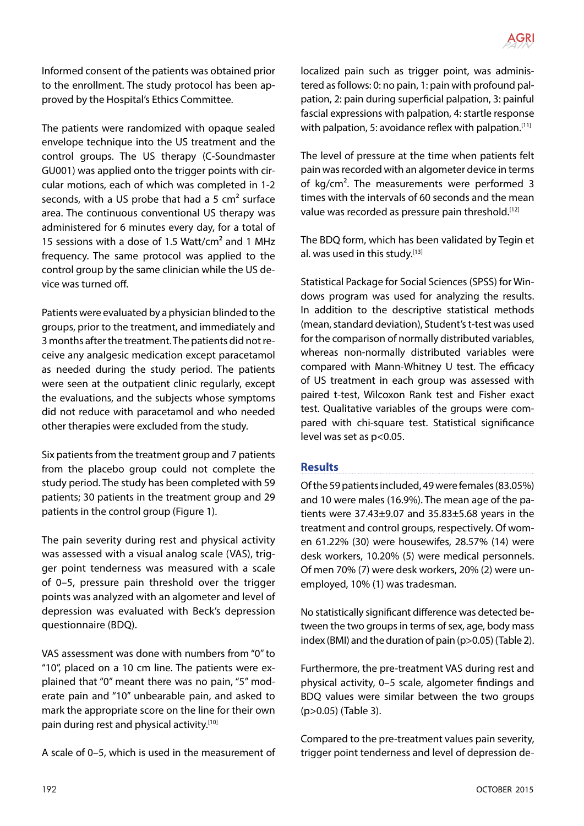

Informed consent of the patients was obtained prior to the enrollment. The study protocol has been approved by the Hospital's Ethics Committee.

The patients were randomized with opaque sealed envelope technique into the US treatment and the control groups. The US therapy (C-Soundmaster GU001) was applied onto the trigger points with circular motions, each of which was completed in 1-2 seconds, with a US probe that had a 5  $cm<sup>2</sup>$  surface area. The continuous conventional US therapy was administered for 6 minutes every day, for a total of 15 sessions with a dose of 1.5 Watt/cm<sup>2</sup> and 1 MHz frequency. The same protocol was applied to the control group by the same clinician while the US device was turned off.

Patients were evaluated by a physician blinded to the groups, prior to the treatment, and immediately and 3 months after the treatment. The patients did not receive any analgesic medication except paracetamol as needed during the study period. The patients were seen at the outpatient clinic regularly, except the evaluations, and the subjects whose symptoms did not reduce with paracetamol and who needed other therapies were excluded from the study.

Six patients from the treatment group and 7 patients from the placebo group could not complete the study period. The study has been completed with 59 patients; 30 patients in the treatment group and 29 patients in the control group (Figure 1).

The pain severity during rest and physical activity was assessed with a visual analog scale (VAS), trigger point tenderness was measured with a scale of 0–5, pressure pain threshold over the trigger points was analyzed with an algometer and level of depression was evaluated with Beck's depression questionnaire (BDQ).

VAS assessment was done with numbers from "0" to "10", placed on a 10 cm line. The patients were explained that "0" meant there was no pain, "5" moderate pain and "10" unbearable pain, and asked to mark the appropriate score on the line for their own pain during rest and physical activity.<sup>[10]</sup>

A scale of 0–5, which is used in the measurement of

localized pain such as trigger point, was administered as follows: 0: no pain, 1: pain with profound palpation, 2: pain during superficial palpation, 3: painful fascial expressions with palpation, 4: startle response with palpation, 5: avoidance reflex with palpation.<sup>[11]</sup>

The level of pressure at the time when patients felt pain was recorded with an algometer device in terms of kg/cm². The measurements were performed 3 times with the intervals of 60 seconds and the mean value was recorded as pressure pain threshold.<sup>[12]</sup>

The BDQ form, which has been validated by Tegin et al. was used in this study.[13]

Statistical Package for Social Sciences (SPSS) for Windows program was used for analyzing the results. In addition to the descriptive statistical methods (mean, standard deviation), Student's t-test was used for the comparison of normally distributed variables, whereas non-normally distributed variables were compared with Mann-Whitney U test. The efficacy of US treatment in each group was assessed with paired t-test, Wilcoxon Rank test and Fisher exact test. Qualitative variables of the groups were compared with chi-square test. Statistical significance level was set as p<0.05.

# **Results**

Of the 59 patients included, 49 were females (83.05%) and 10 were males (16.9%). The mean age of the patients were  $37.43\pm9.07$  and  $35.83\pm5.68$  years in the treatment and control groups, respectively. Of women 61.22% (30) were housewifes, 28.57% (14) were desk workers, 10.20% (5) were medical personnels. Of men 70% (7) were desk workers, 20% (2) were unemployed, 10% (1) was tradesman.

No statistically significant difference was detected between the two groups in terms of sex, age, body mass index (BMI) and the duration of pain (p>0.05) (Table 2).

Furthermore, the pre-treatment VAS during rest and physical activity, 0–5 scale, algometer findings and BDQ values were similar between the two groups (p>0.05) (Table 3).

Compared to the pre-treatment values pain severity, trigger point tenderness and level of depression de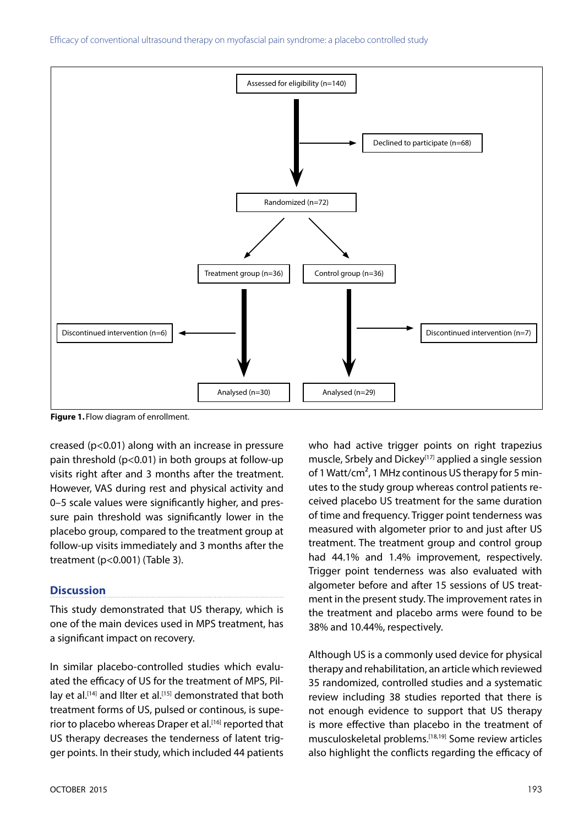Efficacy of conventional ultrasound therapy on myofascial pain syndrome: a placebo controlled study



**Figure 1.** Flow diagram of enrollment.

creased (p<0.01) along with an increase in pressure pain threshold (p<0.01) in both groups at follow-up visits right after and 3 months after the treatment. However, VAS during rest and physical activity and 0–5 scale values were significantly higher, and pressure pain threshold was significantly lower in the placebo group, compared to the treatment group at follow-up visits immediately and 3 months after the treatment (p<0.001) (Table 3).

## **Discussion**

This study demonstrated that US therapy, which is one of the main devices used in MPS treatment, has a significant impact on recovery.

In similar placebo-controlled studies which evaluated the efficacy of US for the treatment of MPS, Pillay et al.<sup>[14]</sup> and Ilter et al.<sup>[15]</sup> demonstrated that both treatment forms of US, pulsed or continous, is superior to placebo whereas Draper et al.<sup>[16]</sup> reported that US therapy decreases the tenderness of latent trigger points. In their study, which included 44 patients who had active trigger points on right trapezius muscle, Srbely and Dickey<sup>[17]</sup> applied a single session of 1 Watt/cm<sup>2</sup>, 1 MHz continous US therapy for 5 minutes to the study group whereas control patients received placebo US treatment for the same duration of time and frequency. Trigger point tenderness was measured with algometer prior to and just after US treatment. The treatment group and control group had 44.1% and 1.4% improvement, respectively. Trigger point tenderness was also evaluated with algometer before and after 15 sessions of US treatment in the present study. The improvement rates in the treatment and placebo arms were found to be 38% and 10.44%, respectively.

Although US is a commonly used device for physical therapy and rehabilitation, an article which reviewed 35 randomized, controlled studies and a systematic review including 38 studies reported that there is not enough evidence to support that US therapy is more effective than placebo in the treatment of musculoskeletal problems.[18,19] Some review articles also highlight the conflicts regarding the efficacy of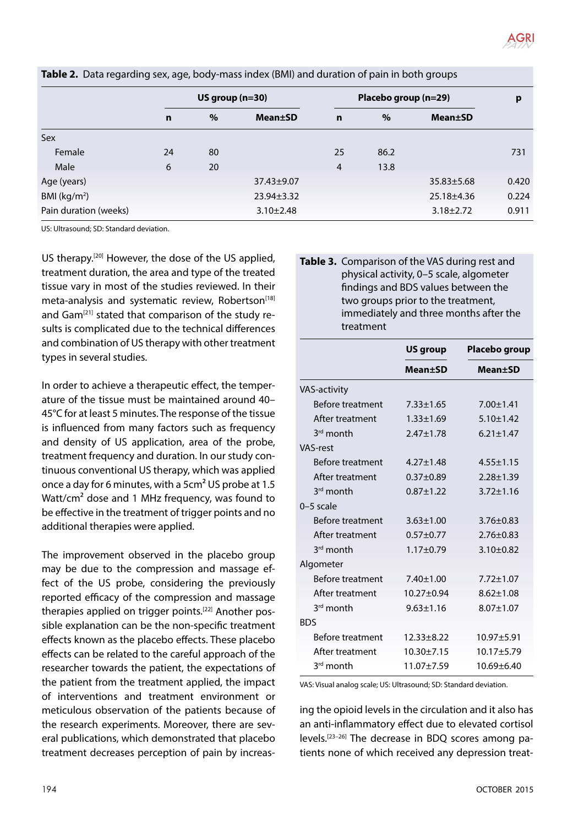|                       | US group $(n=30)$ |      |                  | Placebo group (n=29) |      |                  | p     |
|-----------------------|-------------------|------|------------------|----------------------|------|------------------|-------|
|                       | $\mathbf n$       | $\%$ | <b>Mean</b> ±SD  | $\mathbf n$          | $\%$ | <b>Mean±SD</b>   |       |
| Sex                   |                   |      |                  |                      |      |                  |       |
| Female                | 24                | 80   |                  | 25                   | 86.2 |                  | 731   |
| Male                  | 6                 | 20   |                  | $\overline{4}$       | 13.8 |                  |       |
| Age (years)           |                   |      | $37.43 \pm 9.07$ |                      |      | $35.83 \pm 5.68$ | 0.420 |
| BMI ( $kg/m2$ )       |                   |      | $23.94 \pm 3.32$ |                      |      | 25.18±4.36       | 0.224 |
| Pain duration (weeks) |                   |      | $3.10 \pm 2.48$  |                      |      | $3.18 \pm 2.72$  | 0.911 |

**Table 2.** Data regarding sex, age, body-mass index (BMI) and duration of pain in both groups

US: Ultrasound; SD: Standard deviation.

US therapy.<sup>[20]</sup> However, the dose of the US applied, treatment duration, the area and type of the treated tissue vary in most of the studies reviewed. In their meta-analysis and systematic review, Robertson<sup>[18]</sup> and Gam<sup>[21]</sup> stated that comparison of the study results is complicated due to the technical differences and combination of US therapy with other treatment types in several studies.

In order to achieve a therapeutic effect, the temperature of the tissue must be maintained around 40– 45°C for at least 5 minutes. The response of the tissue is influenced from many factors such as frequency and density of US application, area of the probe, treatment frequency and duration. In our study continuous conventional US therapy, which was applied once a day for 6 minutes, with a 5cm² US probe at 1.5 Watt/cm<sup>2</sup> dose and 1 MHz frequency, was found to be effective in the treatment of trigger points and no additional therapies were applied.

The improvement observed in the placebo group may be due to the compression and massage effect of the US probe, considering the previously reported efficacy of the compression and massage therapies applied on trigger points.<sup>[22]</sup> Another possible explanation can be the non-specific treatment effects known as the placebo effects. These placebo effects can be related to the careful approach of the researcher towards the patient, the expectations of the patient from the treatment applied, the impact of interventions and treatment environment or meticulous observation of the patients because of the research experiments. Moreover, there are several publications, which demonstrated that placebo treatment decreases perception of pain by increas-

# **Table 3.** Comparison of the VAS during rest and physical activity, 0–5 scale, algometer findings and BDS values between the two groups prior to the treatment, immediately and three months after the treatment

|                         | <b>US group</b>  | Placebo group   |  |  |
|-------------------------|------------------|-----------------|--|--|
|                         | Mean±SD          | <b>Mean</b> ±SD |  |  |
| <b>VAS-activity</b>     |                  |                 |  |  |
| <b>Before treatment</b> | $7.33 \pm 1.65$  | $7.00 \pm 1.41$ |  |  |
| After treatment         | $1.33 \pm 1.69$  | $5.10 \pm 1.42$ |  |  |
| 3rd month               | $2.47 + 1.78$    | $6.21 + 1.47$   |  |  |
| <b>VAS-rest</b>         |                  |                 |  |  |
| Before treatment        | $4.27 + 1.48$    | $4.55 \pm 1.15$ |  |  |
| After treatment         | $0.37 + 0.89$    | $2.28 \pm 1.39$ |  |  |
| $3rd$ month             | $0.87 + 1.22$    | $3.72 \pm 1.16$ |  |  |
| $0-5$ scale             |                  |                 |  |  |
| Before treatment        | $3.63 \pm 1.00$  | $3.76 \pm 0.83$ |  |  |
| After treatment         | $0.57 + 0.77$    | $2.76 \pm 0.83$ |  |  |
| 3rd month               | $1.17 + 0.79$    | $3.10+0.82$     |  |  |
| Algometer               |                  |                 |  |  |
| Before treatment        | $7.40 \pm 1.00$  | $7.72 \pm 1.07$ |  |  |
| After treatment         | $10.27 \pm 0.94$ | $8.62 \pm 1.08$ |  |  |
| $3rd$ month             | $9.63 \pm 1.16$  | $8.07 \pm 1.07$ |  |  |
| <b>BDS</b>              |                  |                 |  |  |
| <b>Before treatment</b> | $12.33 \pm 8.22$ | $10.97 + 5.91$  |  |  |
| After treatment         | $10.30 \pm 7.15$ | $10.17 + 5.79$  |  |  |
| 3 <sup>rd</sup> month   | 11.07±7.59       | $10.69 + 6.40$  |  |  |

VAS: Visual analog scale; US: Ultrasound; SD: Standard deviation.

ing the opioid levels in the circulation and it also has an anti-inflammatory effect due to elevated cortisol levels.[23–26] The decrease in BDQ scores among patients none of which received any depression treat-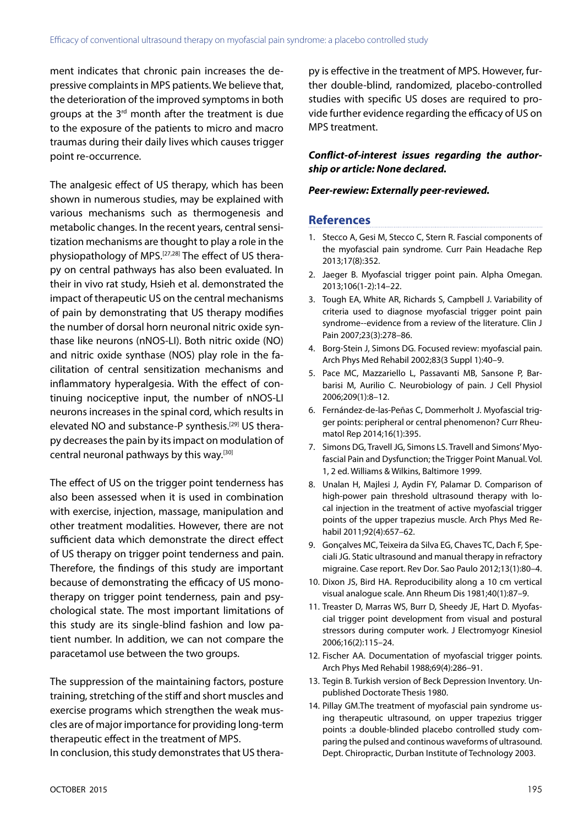ment indicates that chronic pain increases the depressive complaints in MPS patients. We believe that, the deterioration of the improved symptoms in both groups at the 3rd month after the treatment is due to the exposure of the patients to micro and macro traumas during their daily lives which causes trigger point re-occurrence.

The analgesic effect of US therapy, which has been shown in numerous studies, may be explained with various mechanisms such as thermogenesis and metabolic changes. In the recent years, central sensitization mechanisms are thought to play a role in the physiopathology of MPS.[27,28] The effect of US therapy on central pathways has also been evaluated. In their in vivo rat study, Hsieh et al. demonstrated the impact of therapeutic US on the central mechanisms of pain by demonstrating that US therapy modifies the number of dorsal horn neuronal nitric oxide synthase like neurons (nNOS-LI). Both nitric oxide (NO) and nitric oxide synthase (NOS) play role in the facilitation of central sensitization mechanisms and inflammatory hyperalgesia. With the effect of continuing nociceptive input, the number of nNOS-LI neurons increases in the spinal cord, which results in elevated NO and substance-P synthesis.[29] US therapy decreases the pain by its impact on modulation of central neuronal pathways by this way.<sup>[30]</sup>

The effect of US on the trigger point tenderness has also been assessed when it is used in combination with exercise, injection, massage, manipulation and other treatment modalities. However, there are not sufficient data which demonstrate the direct effect of US therapy on trigger point tenderness and pain. Therefore, the findings of this study are important because of demonstrating the efficacy of US monotherapy on trigger point tenderness, pain and psychological state. The most important limitations of this study are its single-blind fashion and low patient number. In addition, we can not compare the paracetamol use between the two groups.

The suppression of the maintaining factors, posture training, stretching of the stiff and short muscles and exercise programs which strengthen the weak muscles are of major importance for providing long-term therapeutic effect in the treatment of MPS.

In conclusion, this study demonstrates that US thera-

py is effective in the treatment of MPS. However, further double-blind, randomized, placebo-controlled studies with specific US doses are required to provide further evidence regarding the efficacy of US on MPS treatment.

# *Conflict-of-interest issues regarding the authorship or article: None declared.*

## *Peer-rewiew: Externally peer-reviewed.*

# **References**

- 1. Stecco A, Gesi M, Stecco C, Stern R. Fascial components of the myofascial pain syndrome. Curr Pain Headache Rep 2013;17(8):352.
- 2. Jaeger B. Myofascial trigger point pain. Alpha Omegan. 2013;106(1-2):14–22.
- 3. Tough EA, White AR, Richards S, Campbell J. Variability of criteria used to diagnose myofascial trigger point pain syndrome--evidence from a review of the literature. Clin J Pain 2007;23(3):278–86.
- 4. Borg-Stein J, Simons DG. Focused review: myofascial pain. Arch Phys Med Rehabil 2002;83(3 Suppl 1):40–9.
- 5. Pace MC, Mazzariello L, Passavanti MB, Sansone P, Barbarisi M, Aurilio C. Neurobiology of pain. J Cell Physiol 2006;209(1):8–12.
- 6. Fernández-de-las-Peñas C, Dommerholt J. Myofascial trigger points: peripheral or central phenomenon? Curr Rheumatol Rep 2014;16(1):395.
- 7. Simons DG, Travell JG, Simons LS. Travell and Simons' Myofascial Pain and Dysfunction; the Trigger Point Manual. Vol. 1, 2 ed. Williams & Wilkins, Baltimore 1999.
- 8. Unalan H, Majlesi J, Aydin FY, Palamar D. Comparison of high-power pain threshold ultrasound therapy with local injection in the treatment of active myofascial trigger points of the upper trapezius muscle. Arch Phys Med Rehabil 2011;92(4):657–62.
- 9. Gonçalves MC, Teixeira da Silva EG, Chaves TC, Dach F, Speciali JG. Static ultrasound and manual therapy in refractory migraine. Case report. Rev Dor. Sao Paulo 2012;13(1):80–4.
- 10. Dixon JS, Bird HA. Reproducibility along a 10 cm vertical visual analogue scale. Ann Rheum Dis 1981;40(1):87–9.
- 11. Treaster D, Marras WS, Burr D, Sheedy JE, Hart D. Myofascial trigger point development from visual and postural stressors during computer work. J Electromyogr Kinesiol 2006;16(2):115–24.
- 12. Fischer AA. Documentation of myofascial trigger points. Arch Phys Med Rehabil 1988;69(4):286–91.
- 13. Tegin B. Turkish version of Beck Depression Inventory. Unpublished Doctorate Thesis 1980.
- 14. Pillay GM.The treatment of myofascial pain syndrome using therapeutic ultrasound, on upper trapezius trigger points :a double-blinded placebo controlled study comparing the pulsed and continous waveforms of ultrasound. Dept. Chiropractic, Durban Institute of Technology 2003.